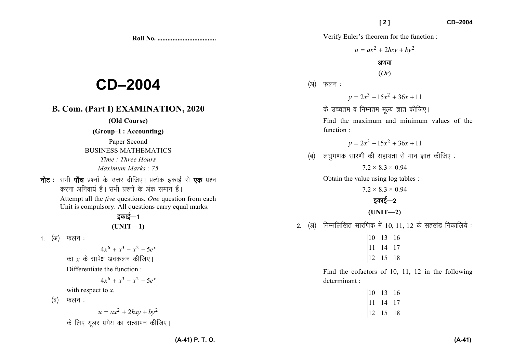**Roll No. ...................................** 

# **CD–2004**

# **B. Com. (Part I) EXAMINATION, 2020**

**(Old Course)** 

#### **(Group–I : Accounting)**

Paper Second BUSINESS MATHEMATICS *Time : Three Hours Maximum Marks : 75*

नोट : सभी पाँच प्रश्नों के उत्तर दीजिए। प्रत्येक इकाई से एक प्रश्न करना अनिवार्य है। सभी प्रश्नों के अंक समान हैं।

> Attempt all the *five* questions. *One* question from each Unit is compulsory. All questions carry equal marks.

# डकाई $-1$ **(UNIT—1)**

1. <sup>(31)</sup> फलन:

 $4x^{6} + x^{3} - x^{2} - 5e^{x}$ का  $x$  के सापेक्ष अवकलन कीजिए।

Differentiate the function :

$$
4x^6 + x^3 - x^2 - 5e^x
$$

with respect to *<sup>x</sup>*.

 $(a)$  फलन:

$$
u = ax^2 + 2hxy + by^2
$$

के लिए यूलर प्रमेय का सत्यापन कीजिए।

Verify Euler's theorem for the function :

 $u = ax^2 + 2hxy + by^2$ 

### अथवा

(*Or*)

## (अ) फलन:

$$
y = 2x^3 - 15x^2 + 36x + 11
$$

के उच्चतम व निम्नतम मल्य ज्ञात कीजिए।

Find the maximum and minimum values of the function :

$$
y = 2x^3 - 15x^2 + 36x + 11
$$

 $\mathbf{q}$ ) लघुगणक सारणी की सहायता से मान ज्ञात कीजिए :

 $7.2 \times 8.3 \times 0.94$ 

Obtain the value using log tables :

 $7.2 \times 8.3 \times 0.94$ 

# डकाई—2

**(UNIT—2)** 

2. (अ) निम्नलिखित सारणिक में 10, 11, 12 के सहखंड निकालिये :

 $|10 \t13 \t16|$  $|11 \t14 \t17|$ <sup>12</sup> <sup>15</sup> <sup>18</sup>

Find the cofactors of 10, 11, 12 in the following determinant :

| 10 | 13 | 16 |
|----|----|----|
| 11 | 14 | 17 |
| 12 | 15 | 18 |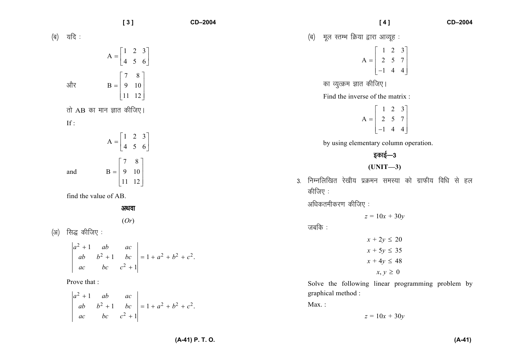|     |                                             | [3]                                                                                                                | CD-2004         | CD-2004<br>[4]                                                                                                    |
|-----|---------------------------------------------|--------------------------------------------------------------------------------------------------------------------|-----------------|-------------------------------------------------------------------------------------------------------------------|
|     | (ब) यदि:                                    |                                                                                                                    |                 | मूल स्तम्भ क्रिया द्वारा आव्यूह :<br>(ৰ)                                                                          |
|     |                                             | $A = \begin{bmatrix} 1 & 2 & 3 \\ 4 & 5 & 6 \end{bmatrix}$                                                         |                 | $A = \begin{bmatrix} 1 & 2 & 3 \\ 2 & 5 & 7 \\ -1 & 4 & 4 \end{bmatrix}$                                          |
|     | और                                          | $B = \begin{bmatrix} 7 & 8 \\ 9 & 10 \\ 11 & 12 \end{bmatrix}$                                                     |                 | का व्युत्क्रम ज्ञात कीजिए।<br>Find the inverse of the matrix :                                                    |
|     | तो AB का मान ज्ञात कीजिए।<br>If :           | $A = \begin{bmatrix} 1 & 2 & 3 \\ 4 & 5 & 6 \end{bmatrix}$                                                         |                 | $A = \begin{bmatrix} 1 & 2 & 3 \\ 2 & 5 & 7 \\ -1 & 4 & 4 \end{bmatrix}$<br>by using elementary column operation. |
|     | and                                         | $B = \begin{bmatrix} 7 & 8 \\ 9 & 10 \\ 11 & 12 \end{bmatrix}$                                                     |                 | इकाई—3<br>$(UNIT-3)$<br>निम्नलिखित रेखीय प्रक्रमन समस्या को ग्राफीय विधि से हल<br>3.                              |
|     | find the value of AB.                       | अथवा<br>(Or)                                                                                                       |                 | कीजिए :<br>अधिकतमीकरण कीजिए :<br>$z = 10x + 30y$                                                                  |
| (अ) | सिद्ध कीजिए :                               | $\begin{vmatrix} a^2 + 1 & ab & ac \\ ab & b^2 + 1 & bc \\ ac & bc & c^2 + 1 \end{vmatrix} = 1 + a^2 + b^2 + c^2.$ |                 | जबकि :<br>$x + 2y \le 20$<br>$x + 5y \leq 35$<br>$x + 4y \le 48$<br>$x, y \geq 0$                                 |
|     | Prove that :<br>$a^2 + 1$<br>ab<br>ab<br>ac | ac<br>$\begin{vmatrix} b^2 + 1 & bc \ bc & c^2 + 1 \end{vmatrix} = 1 + a^2 + b^2 + c^2.$                           |                 | Solve the following linear programming problem by<br>graphical method :<br>$Max.$ :<br>$z = 10x + 30y$            |
|     |                                             |                                                                                                                    | (A-41) P. T. O. | $(A-41)$                                                                                                          |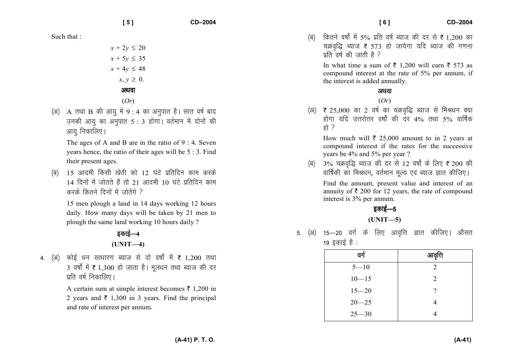**[ 5 ] CD–2004** 

Such that :

- $x + 2y \le 20$ *x* + 5*y* ≤ 35 *x* + 4*y* ≤ 48  $x, y \geq 0$ . अथवा
	- (*Or*)
- (अ) A तथा B की आयु में 9 : 4 का अनुपात है। सात वर्ष बाद उनकी आयु का अनुपात 5 : 3 होगा। वर्तमान में दोनों की आयु निकालिए ।

The ages of A and B are in the ratio of 9 : 4. Seven years hence, the ratio of their ages will be 5 : 3. Find their present ages.

(ब) 15 आदमी किसी खेती को 12 घंटे प्रतिदिन काम करके 14 दिनों में जोतते हैं तो 21 आदमी 10 घंटे प्रतिदिन काम करके कितने दिनों में जोतेंगे ?

15 men plough a land in 14 days working 12 hours daily. How many days will be taken by 21 men to plough the same land working 10 hours daily ?

# डकाई—4 **(UNIT—4)**

4. (अ) कोई धन साधारण ब्याज से दो वर्षों में **₹** 1,200 तथा 3 वर्षों में ₹ 1,300 हो जाता है। मूलधन तथा ब्याज की दर प्रति वर्ष निकालिए।

> A certain sum at simple interest becomes  $\bar{\tau}$  1,200 in 2 years and  $\bar{\tau}$  1,300 in 3 years. Find the principal and rate of interest per annum.

(ब) कितने वर्षों में 5% प्रति वर्ष ब्याज की दर से **₹** 1,200 का चक्रवृद्धि ब्याज **₹** 573 हो जायेगा यदि ब्याज की गणना प्रति वर्ष की जाती है ?

In what time a sum of  $\bar{\tau}$  1,200 will earn  $\bar{\tau}$  573 as compound interest at the rate of 5% per annum, if the interest is added annually.

### अथवा

(*Or*)

(अ)  $\,$  ₹ 25,000 का 2 वर्ष का चक्रवृद्धि ब्याज से मिश्रधन क्या होगा यदि उत्तरोत्तर वर्षों की दर 4% तथा 5% वार्षिक हो $\overrightarrow{a}$ 

How much will  $\bar{\tau}$  25,000 amount to in 2 years at compound interest if the rates for the successive years be 4% and 5% per year ?

(ब)  $\,$  3% चक्रवृद्धि ब्याज की दर से 12 वर्षों के लिए ₹ 200 की वार्षिकी का मिश्रधन, वर्तमान मूल्य एवं ब्याज ज्ञात कीजिए।

Find the amount, present value and interest of an annuity of  $\bar{\tau}$  200 for 12 years, the rate of compound interest is 3% per annum.

## डकाई—5 **(UNIT—5)**

5. (अ) 15—20 वर्ग के लिए आवृत्ति ज्ञात कीजिए। औसत 19 इकाई है :

| वर्ग      | आवृत्ति |
|-----------|---------|
| $5 - 10$  | 2       |
| $10 - 15$ | 2       |
| $15 - 20$ | ?       |
| $20 - 25$ |         |
| $25 - 30$ |         |